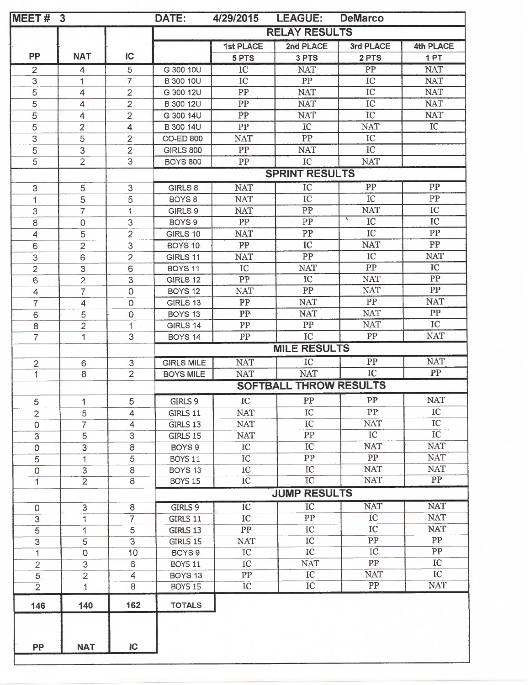| MEET#          | $\mathbf{3}$   |                     | DATE:                                | 4/29/2015                     | <b>LEAGUE:</b>                | <b>DeMarco</b>                |                               |
|----------------|----------------|---------------------|--------------------------------------|-------------------------------|-------------------------------|-------------------------------|-------------------------------|
|                |                |                     | <b>RELAY RESULTS</b>                 |                               |                               |                               |                               |
|                |                |                     |                                      | <b>1st PLACE</b>              | 2nd PLACE                     | 3rd PLACE                     | 4th PLACE                     |
| PP             | <b>NAT</b>     | $\overline{C}$      |                                      | 5 PTS                         | 3 PTS                         | 2 PTS                         | 1PT                           |
| $\overline{2}$ | 4              | 5                   | G 300 10U                            | IC                            | <b>NAT</b>                    | PP                            | <b>NAT</b>                    |
| $\mathsf 3$    | 1              | $\overline{7}$      | B 300 10U                            | IC                            | ${\rm PP}$                    | IC                            | <b>NAT</b>                    |
| $\overline{5}$ | 4              | $\overline{2}$      | G 300 12U                            | ${\rm PP}$                    | <b>NAT</b>                    | IC                            | <b>NAT</b>                    |
| 5              | 4              | $\overline{2}$      | B 300 12U                            | PP                            | <b>NAT</b>                    | IC                            | <b>NAT</b>                    |
| $\overline{5}$ | $\overline{4}$ | $\overline{2}$      | G 300 14U                            | PP                            | <b>NAT</b>                    | IC                            | <b>NAT</b>                    |
| $\overline{5}$ | $\overline{2}$ | 4                   | B 300 14U                            | PP                            | IC                            | <b>NAT</b>                    | IC                            |
| $\overline{3}$ | 5              | $\overline{2}$      | <b>CO-ED 800</b>                     | <b>NAT</b>                    | PP                            | IC                            |                               |
| $\overline{5}$ | 3              | $\overline{2}$      | <b>GIRLS 800</b>                     | PP                            | <b>NAT</b>                    | IC                            |                               |
| $\overline{5}$ | $\overline{2}$ | 3                   | <b>BOYS 800</b>                      | ${\cal PP}$                   | IC                            | <b>NAT</b>                    |                               |
|                |                |                     |                                      |                               | <b>SPRINT RESULTS</b>         |                               |                               |
| 3              | 5              | 3                   | GIRLS 8                              | <b>NAT</b>                    | $\overline{IC}$               | PP                            | PP                            |
| 1              | 5              | 5                   | BOYS <sub>8</sub>                    | <b>NAT</b>                    | IC                            | IC                            | ${\cal PP}$                   |
| 3              | $\overline{7}$ | 1                   | GIRLS 9                              | <b>NAT</b>                    | PP                            | <b>NAT</b>                    | ${\rm IC}$                    |
| 8              | $\mathbf 0$    | $\sqrt{3}$          | BOYS <sub>9</sub>                    | PP                            | ${\cal PP}$                   | ١<br>IC                       | IC                            |
| $\overline{4}$ | 5              | $\overline{2}$      | GIRLS 10                             | <b>NAT</b>                    | PP                            | IC                            | ${\rm PP}$                    |
| 6              | $\overline{2}$ | 3.                  | BOYS 10                              | PP                            | ${\rm IC}$                    | <b>NAT</b>                    | PP                            |
| 3              | 6              | $\overline{2}$      | GIRLS 11                             | <b>NAT</b>                    | PP                            | IC                            | <b>NAT</b>                    |
| $\overline{2}$ | 3              | 6                   | BOYS <sub>11</sub>                   | ${\rm IC}$                    | <b>NAT</b>                    | PP                            | $_{\rm IC}$                   |
| 6              | $\overline{2}$ | $\mathsf 3$         | GIRLS 12                             | PP                            | $\rm IC$                      | <b>NAT</b>                    | ${\bf PP}$                    |
| 4              | $\overline{7}$ | $\mathsf 0$         | BOYS <sub>12</sub>                   | <b>NAT</b>                    | PP                            | <b>NAT</b>                    | ${\rm PP}$                    |
| $\overline{7}$ | $\overline{4}$ | $\mathbf 0$         | GIRLS 13                             | ${\rm PP}$                    | <b>NAT</b>                    | ${\rm PP}$                    | <b>NAT</b>                    |
| 6              | 5              | $\circ$             | BOYS 13                              | PP-                           | <b>NAT</b>                    | <b>NAT</b>                    | PP                            |
| 8              | $\overline{2}$ | 1                   | GIRLS 14                             | ${\cal PP}$                   | PP                            | <b>NAT</b>                    | $_{\rm IC}$                   |
| $\overline{7}$ | 1              | 3                   | BOYS 14                              | ${\rm PP}$                    | IC                            | PP                            | <b>NAT</b>                    |
|                |                |                     |                                      |                               | <b>MILE RESULTS</b>           |                               |                               |
| $\overline{c}$ | 6              | 3                   | <b>GIRLS MILE</b>                    | <b>NAT</b>                    | IC                            | $\overline{PP}$               | <b>NAT</b>                    |
| $\overline{1}$ | $\overline{8}$ | $\overline{2}$      | <b>BOYS MILE</b>                     | <b>NAT</b>                    | <b>NAT</b>                    | IC                            | ${\rm PP}$                    |
|                |                |                     |                                      |                               | <b>SOFTBALL THROW RESULTS</b> |                               |                               |
|                |                |                     |                                      |                               |                               |                               |                               |
| 5              | 1              | 5                   | GIRLS 9                              | IC                            | PP                            | ${\bf PP}$                    | <b>NAT</b>                    |
| $\mathbf{2}$   | 5              | 4                   | GIRLS 11                             | <b>NAT</b>                    | IC                            | PP                            | IC                            |
| $\mathbf 0$    | $\overline{7}$ | $\overline{4}$      | GIRLS 13                             | $\operatorname{NAT}$          | IC                            | <b>NAT</b>                    | IC<br>$\rm{IC}$               |
| 3              | 5              | 3                   | GIRLS 15                             | <b>NAT</b>                    | ${\cal PP}$                   | IC                            | NAT <sup>®</sup>              |
| $\mathcal{O}$  | $\overline{3}$ | $\mathbf{8}$        | BOYS <sub>9</sub>                    | IĊ                            | IC                            | <b>NAT</b><br>PP              | <b>NAT</b>                    |
| 5              | 1              | 5                   | BOYS 11                              | IC                            | PP<br>IC                      | <b>NAT</b>                    | <b>NAT</b>                    |
| 0              | $\overline{3}$ | $\overline{8}$<br>8 | BOYS <sub>13</sub><br><b>BOYS 15</b> | ${\rm IC}$<br>$\overline{IC}$ | $\overline{IC}$               | <b>NAT</b>                    | $\overline{PP}$               |
| $\mathbf{1}$   | $\overline{2}$ |                     |                                      |                               |                               |                               |                               |
|                |                |                     |                                      |                               | <b>JUMP RESULTS</b>           |                               |                               |
| $\Omega$       | 3              | 8                   | GIRLS 9                              | $\overline{IC}$               | $\overline{IC}$               | <b>NAT</b>                    | <b>NAT</b>                    |
| 3              | 1              | $\overline{7}$      | GIRLS 11                             | IC                            | PP                            | $_{\rm IC}$                   | <b>NAT</b>                    |
| 5              | 1              | $\overline{5}$      | GIRLS 13                             | PP                            | IC                            | $\overline{IC}$               | <b>NAT</b>                    |
| 3              | 5              | $\overline{3}$      | GIRLS 15                             | <b>NAT</b>                    | ${\rm IC}$                    | PP                            | PP                            |
| 1              | 0              | 10                  | BOYS <sub>9</sub>                    | $_{\text{IC}}$                | IC                            | IC                            | PP                            |
| $\overline{2}$ | $\overline{3}$ | 6                   | BOYS 11                              | IC                            | <b>NAT</b>                    | PP                            | ${\rm IC}$                    |
| 5              | $\overline{2}$ | $\overline{4}$      | <b>BOYS.13.</b>                      | PP                            | $_{\text{IC}}$                | <b>NAT</b><br>$\overline{PP}$ | IC <sub>1</sub><br><b>NAT</b> |
| $\overline{2}$ | $\overline{1}$ | $\overline{8}$      | <b>BOYS 15</b>                       | IČ                            | $\overline{IC}$               |                               |                               |
|                |                | 162                 | <b>TOTALS</b>                        |                               |                               |                               |                               |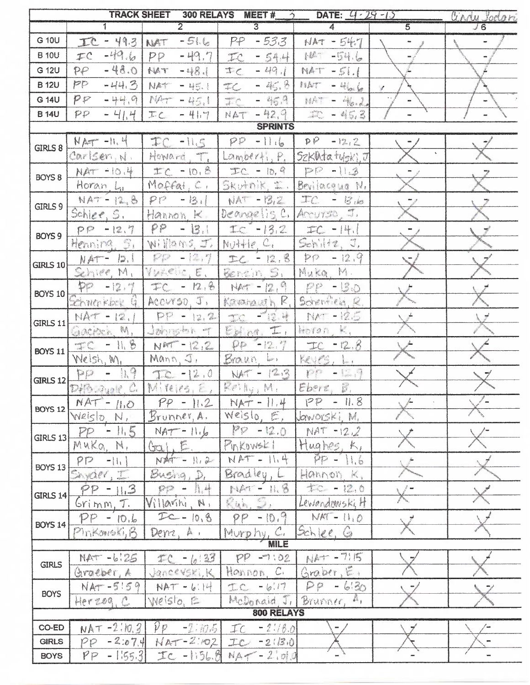| $\overline{2}$<br>$\overline{5}$<br>1<br>$\overline{3}$<br>$\overline{J6}$<br>4<br>G 10U<br>$-516$<br>$-533$<br>$-49.3$<br>PP<br>$NAT - 547$<br>IC<br>NAT<br>w.<br>$-49.6$<br>$-49,7$<br><b>B</b> 10U<br>10.<br>$-54.6$<br>TC<br>PP<br>$-54.4$<br>TC<br>$-48.0$<br>G 12U<br>$\mathcal{P}\mathcal{P}$<br>$-48.1$<br>$\tau_c$<br>$-49.1$<br>$NAT$ - $51.1$<br>FIAT<br><b>B12U</b><br>PP<br>$-44.3$<br>$-45.8$<br>$H^*$<br>NAT<br>$-4io$<br>$-45.1$<br>$\mathcal{J}$<br>$-45.3$<br>PP<br>G 14U<br>$-44.9$<br>$M_{\rm{H}}$<br>$-46.2.$<br>$-45.1$<br>$-42,9$<br><b>B 14U</b><br>$\mathcal{P} \mathcal{P}$<br>$-41.4$<br>$-45.3$<br>IC<br>$-41.7$<br>NAT<br><b>SPRINTS</b><br>$-11.6$<br>P<br>$NAT - 11.4$<br>$TC -11.5$<br>PP<br>$-12.2$<br>GIRLS 8<br>SZKNtatuski, J<br>Carlsen, N.<br>Howard.<br>$\frac{1}{2}$<br>$L$ amperti, $P$ ,<br>$\begin{bmatrix} 1 & 0 & 0 \\ 0 & 1 & 0 \\ 0 & 0 & 0 \\ 0 & 0 & 0 \\ 0 & 0 & 0 \\ 0 & 0 & 0 \\ 0 & 0 & 0 \\ 0 & 0 & 0 \\ 0 & 0 & 0 \\ 0 & 0 & 0 & 0 \\ 0 & 0 & 0 & 0 \\ 0 & 0 & 0 & 0 \\ 0 & 0 & 0 & 0 \\ 0 & 0 & 0 & 0 & 0 \\ 0 & 0 & 0 & 0 & 0 \\ 0 & 0 & 0 & 0 & 0 \\ 0 & 0 & 0 & 0 & 0 & 0 \\ 0 & 0 & 0 & 0 & 0 & 0 \\ 0 & $<br>$H.01-THA$<br>$TC - 10.8$<br>$TC - 10,9$<br>$-11.3$<br>BOYS <sub>8</sub><br>Moffat, C.<br>Skutnik, #.<br>Horan, Lu<br>Bevilacous N.<br>TC<br>$NAT - 12.8$<br>PP<br>$NAT - 13.2$<br>$-13.1$<br>$-13.10$<br>GIRLS 9<br>Schlee, S.<br>Arryson, J.<br>Deangelis C.<br>Hannon K.<br>PP<br>13.1<br>$TC - 13.2$<br>$PP - 12.7$<br>$TC -  4 $<br>$\blacksquare$<br>BOYS 9<br>Schiltz, J.<br>Henning, S.<br>Williams, J.<br>$N$ $H$ $e$ <sup><math>C</math></sup><br>$\mathbb{R}^n \rightarrow \mathbb{R}^n$<br>$-12.7$<br>$p_{\mathcal{P}}$<br>$-12.9$<br>$TC - 12.8$<br>$NAT -  D_{1} $<br><b>GIRLS 10</b><br>Benein S.<br>Muka M.<br>VIACIO, E.<br>Schier, M.<br>$p_{\varphi}$<br>$M - 12,9$<br>$PP - 50$<br>$-12, 7$<br>$TC - 12.8$<br>BOYS $10$<br>Schenfield, R.<br>ACCUYSD. J.<br>$\arcsin R$<br>$27$ $n$ $n$ $n$ $n$ $n$<br>$\mathcal{L}$<br>- 13.4<br>$PP - 12.2$<br>NAT - 12.<br>$14 - 125$<br>GIRLS 11<br>$E_{\mathcal{S}}$ or, $\mathcal{I}$ ,<br>$\mathbb{R}$<br>Jangton of<br>Gaciach M.<br>karan.<br>$-11.8$<br>$pp - 12.7$<br>NAT-12,2<br>$-12.8$<br>$T_{\rm th}$<br>$\frac{1}{2}$<br><b>BOYS 11</b><br>$Mann, \mathcal{I},$<br>Welsh, M.<br>Brawn, k.<br>KUG, L.<br>pp - 119<br>NAT - 12.3<br>$-12.7$<br>$T = -12.0$<br>$E \cap \mathbb{N}_1$ $M_1$<br>Eberz.<br>$D_1 \oplus D_2$<br>$M$ reignal $E$ ,<br>$PP - 11.8$<br>$NAT - 1100$<br>$PP - 11.2$<br>$NAT - 11.4$<br><b>BOYS 12</b><br>Weislo, E.<br>Brunner, A.<br>Jaworski, M.<br>Weislo N,<br>$PP - 12.0$<br>$PP - 115$<br>$NAT - 12.2$<br>$NAT - 116$<br>GIRLS 13<br>Hughes, K,<br>Gal, E.<br>PINKOWSKI<br>MUKQ, M.<br>$NAT - 11.4$<br>$PP - 11.6$<br>$M_{\text{at}} - N_{\text{at}}$<br>PP<br>$-11.$<br><b>BOYS 13</b><br>Bradley, L<br>Busing, D.<br>Hannon K.<br>Sayder, I<br>$E = 12.6$<br>$PP - M +$<br>$F44 - H8$<br>$PP - 11.3$<br><b>GIRLS 14</b><br>Ruh, 2)<br>Villarihi, N.<br>Lewandowski, H<br>Grimm, T.<br>$TC - 10, 8$<br>$PP - 10.9$<br>$NAT - H_1Q$<br>$PP - 10.6$<br><b>BOYS 14</b><br>Sch (ce, G)<br>Murphy, C.<br>Pinkorroki, B<br>Dem, A.<br><b>MILE</b><br>NAT-7115<br>$PP - 1.02$<br>$NAT - 6125$<br>$TC - [6:33]$<br><b>GIRLS</b><br>Graber, E.<br>Hannon, C.<br>Graeber, A<br>Janceveri, K<br>$NAT - 5!59$<br>$PP - 630$<br>$NAT - b.14$<br>$TC - 6.17$<br><b>BOYS</b><br>McDonald J,<br>Brunner, 4,<br>Weisto, E<br>Herzog, C<br>800 RELAYS<br>CO-ED<br>$NAT - 2.10.3$ $pp - 2.10.5$<br>$TC - 21/8.0$<br>$-2.074$ NAT-2:102<br><b>GIRLS</b><br>PP<br>$IC - 21B.0$ |                 | <b>TRACK SHEET</b><br>300 RELAYS<br>MEET#<br>DATE: $4 - 29 - 15$<br>$\rightarrow$<br><u>lindy Jodari</u> |  |  |  |  |  |  |  |
|-------------------------------------------------------------------------------------------------------------------------------------------------------------------------------------------------------------------------------------------------------------------------------------------------------------------------------------------------------------------------------------------------------------------------------------------------------------------------------------------------------------------------------------------------------------------------------------------------------------------------------------------------------------------------------------------------------------------------------------------------------------------------------------------------------------------------------------------------------------------------------------------------------------------------------------------------------------------------------------------------------------------------------------------------------------------------------------------------------------------------------------------------------------------------------------------------------------------------------------------------------------------------------------------------------------------------------------------------------------------------------------------------------------------------------------------------------------------------------------------------------------------------------------------------------------------------------------------------------------------------------------------------------------------------------------------------------------------------------------------------------------------------------------------------------------------------------------------------------------------------------------------------------------------------------------------------------------------------------------------------------------------------------------------------------------------------------------------------------------------------------------------------------------------------------------------------------------------------------------------------------------------------------------------------------------------------------------------------------------------------------------------------------------------------------------------------------------------------------------------------------------------------------------------------------------------------------------------------------------------------------------------------------------------------------------------------------------------------------------------------------------------------------------------------------------------------------------------------------------------------------------------------------------------------------------------------------------------------------------------------------------------------------------------------------------------------------------------------------------------------------------------------------------------------------------------------------------------------------------------------------------------------------------------------------------------------------------------------------------------------------------------------------------------------------------------------------------------------------------------------------------------------------------------------------------------------------------------------------------------------------------|-----------------|----------------------------------------------------------------------------------------------------------|--|--|--|--|--|--|--|
|                                                                                                                                                                                                                                                                                                                                                                                                                                                                                                                                                                                                                                                                                                                                                                                                                                                                                                                                                                                                                                                                                                                                                                                                                                                                                                                                                                                                                                                                                                                                                                                                                                                                                                                                                                                                                                                                                                                                                                                                                                                                                                                                                                                                                                                                                                                                                                                                                                                                                                                                                                                                                                                                                                                                                                                                                                                                                                                                                                                                                                                                                                                                                                                                                                                                                                                                                                                                                                                                                                                                                                                                                                     |                 |                                                                                                          |  |  |  |  |  |  |  |
|                                                                                                                                                                                                                                                                                                                                                                                                                                                                                                                                                                                                                                                                                                                                                                                                                                                                                                                                                                                                                                                                                                                                                                                                                                                                                                                                                                                                                                                                                                                                                                                                                                                                                                                                                                                                                                                                                                                                                                                                                                                                                                                                                                                                                                                                                                                                                                                                                                                                                                                                                                                                                                                                                                                                                                                                                                                                                                                                                                                                                                                                                                                                                                                                                                                                                                                                                                                                                                                                                                                                                                                                                                     |                 |                                                                                                          |  |  |  |  |  |  |  |
|                                                                                                                                                                                                                                                                                                                                                                                                                                                                                                                                                                                                                                                                                                                                                                                                                                                                                                                                                                                                                                                                                                                                                                                                                                                                                                                                                                                                                                                                                                                                                                                                                                                                                                                                                                                                                                                                                                                                                                                                                                                                                                                                                                                                                                                                                                                                                                                                                                                                                                                                                                                                                                                                                                                                                                                                                                                                                                                                                                                                                                                                                                                                                                                                                                                                                                                                                                                                                                                                                                                                                                                                                                     |                 |                                                                                                          |  |  |  |  |  |  |  |
|                                                                                                                                                                                                                                                                                                                                                                                                                                                                                                                                                                                                                                                                                                                                                                                                                                                                                                                                                                                                                                                                                                                                                                                                                                                                                                                                                                                                                                                                                                                                                                                                                                                                                                                                                                                                                                                                                                                                                                                                                                                                                                                                                                                                                                                                                                                                                                                                                                                                                                                                                                                                                                                                                                                                                                                                                                                                                                                                                                                                                                                                                                                                                                                                                                                                                                                                                                                                                                                                                                                                                                                                                                     |                 |                                                                                                          |  |  |  |  |  |  |  |
|                                                                                                                                                                                                                                                                                                                                                                                                                                                                                                                                                                                                                                                                                                                                                                                                                                                                                                                                                                                                                                                                                                                                                                                                                                                                                                                                                                                                                                                                                                                                                                                                                                                                                                                                                                                                                                                                                                                                                                                                                                                                                                                                                                                                                                                                                                                                                                                                                                                                                                                                                                                                                                                                                                                                                                                                                                                                                                                                                                                                                                                                                                                                                                                                                                                                                                                                                                                                                                                                                                                                                                                                                                     |                 |                                                                                                          |  |  |  |  |  |  |  |
|                                                                                                                                                                                                                                                                                                                                                                                                                                                                                                                                                                                                                                                                                                                                                                                                                                                                                                                                                                                                                                                                                                                                                                                                                                                                                                                                                                                                                                                                                                                                                                                                                                                                                                                                                                                                                                                                                                                                                                                                                                                                                                                                                                                                                                                                                                                                                                                                                                                                                                                                                                                                                                                                                                                                                                                                                                                                                                                                                                                                                                                                                                                                                                                                                                                                                                                                                                                                                                                                                                                                                                                                                                     |                 |                                                                                                          |  |  |  |  |  |  |  |
|                                                                                                                                                                                                                                                                                                                                                                                                                                                                                                                                                                                                                                                                                                                                                                                                                                                                                                                                                                                                                                                                                                                                                                                                                                                                                                                                                                                                                                                                                                                                                                                                                                                                                                                                                                                                                                                                                                                                                                                                                                                                                                                                                                                                                                                                                                                                                                                                                                                                                                                                                                                                                                                                                                                                                                                                                                                                                                                                                                                                                                                                                                                                                                                                                                                                                                                                                                                                                                                                                                                                                                                                                                     |                 |                                                                                                          |  |  |  |  |  |  |  |
|                                                                                                                                                                                                                                                                                                                                                                                                                                                                                                                                                                                                                                                                                                                                                                                                                                                                                                                                                                                                                                                                                                                                                                                                                                                                                                                                                                                                                                                                                                                                                                                                                                                                                                                                                                                                                                                                                                                                                                                                                                                                                                                                                                                                                                                                                                                                                                                                                                                                                                                                                                                                                                                                                                                                                                                                                                                                                                                                                                                                                                                                                                                                                                                                                                                                                                                                                                                                                                                                                                                                                                                                                                     |                 |                                                                                                          |  |  |  |  |  |  |  |
|                                                                                                                                                                                                                                                                                                                                                                                                                                                                                                                                                                                                                                                                                                                                                                                                                                                                                                                                                                                                                                                                                                                                                                                                                                                                                                                                                                                                                                                                                                                                                                                                                                                                                                                                                                                                                                                                                                                                                                                                                                                                                                                                                                                                                                                                                                                                                                                                                                                                                                                                                                                                                                                                                                                                                                                                                                                                                                                                                                                                                                                                                                                                                                                                                                                                                                                                                                                                                                                                                                                                                                                                                                     |                 |                                                                                                          |  |  |  |  |  |  |  |
|                                                                                                                                                                                                                                                                                                                                                                                                                                                                                                                                                                                                                                                                                                                                                                                                                                                                                                                                                                                                                                                                                                                                                                                                                                                                                                                                                                                                                                                                                                                                                                                                                                                                                                                                                                                                                                                                                                                                                                                                                                                                                                                                                                                                                                                                                                                                                                                                                                                                                                                                                                                                                                                                                                                                                                                                                                                                                                                                                                                                                                                                                                                                                                                                                                                                                                                                                                                                                                                                                                                                                                                                                                     |                 |                                                                                                          |  |  |  |  |  |  |  |
|                                                                                                                                                                                                                                                                                                                                                                                                                                                                                                                                                                                                                                                                                                                                                                                                                                                                                                                                                                                                                                                                                                                                                                                                                                                                                                                                                                                                                                                                                                                                                                                                                                                                                                                                                                                                                                                                                                                                                                                                                                                                                                                                                                                                                                                                                                                                                                                                                                                                                                                                                                                                                                                                                                                                                                                                                                                                                                                                                                                                                                                                                                                                                                                                                                                                                                                                                                                                                                                                                                                                                                                                                                     |                 |                                                                                                          |  |  |  |  |  |  |  |
|                                                                                                                                                                                                                                                                                                                                                                                                                                                                                                                                                                                                                                                                                                                                                                                                                                                                                                                                                                                                                                                                                                                                                                                                                                                                                                                                                                                                                                                                                                                                                                                                                                                                                                                                                                                                                                                                                                                                                                                                                                                                                                                                                                                                                                                                                                                                                                                                                                                                                                                                                                                                                                                                                                                                                                                                                                                                                                                                                                                                                                                                                                                                                                                                                                                                                                                                                                                                                                                                                                                                                                                                                                     |                 |                                                                                                          |  |  |  |  |  |  |  |
|                                                                                                                                                                                                                                                                                                                                                                                                                                                                                                                                                                                                                                                                                                                                                                                                                                                                                                                                                                                                                                                                                                                                                                                                                                                                                                                                                                                                                                                                                                                                                                                                                                                                                                                                                                                                                                                                                                                                                                                                                                                                                                                                                                                                                                                                                                                                                                                                                                                                                                                                                                                                                                                                                                                                                                                                                                                                                                                                                                                                                                                                                                                                                                                                                                                                                                                                                                                                                                                                                                                                                                                                                                     |                 |                                                                                                          |  |  |  |  |  |  |  |
|                                                                                                                                                                                                                                                                                                                                                                                                                                                                                                                                                                                                                                                                                                                                                                                                                                                                                                                                                                                                                                                                                                                                                                                                                                                                                                                                                                                                                                                                                                                                                                                                                                                                                                                                                                                                                                                                                                                                                                                                                                                                                                                                                                                                                                                                                                                                                                                                                                                                                                                                                                                                                                                                                                                                                                                                                                                                                                                                                                                                                                                                                                                                                                                                                                                                                                                                                                                                                                                                                                                                                                                                                                     |                 |                                                                                                          |  |  |  |  |  |  |  |
|                                                                                                                                                                                                                                                                                                                                                                                                                                                                                                                                                                                                                                                                                                                                                                                                                                                                                                                                                                                                                                                                                                                                                                                                                                                                                                                                                                                                                                                                                                                                                                                                                                                                                                                                                                                                                                                                                                                                                                                                                                                                                                                                                                                                                                                                                                                                                                                                                                                                                                                                                                                                                                                                                                                                                                                                                                                                                                                                                                                                                                                                                                                                                                                                                                                                                                                                                                                                                                                                                                                                                                                                                                     |                 |                                                                                                          |  |  |  |  |  |  |  |
|                                                                                                                                                                                                                                                                                                                                                                                                                                                                                                                                                                                                                                                                                                                                                                                                                                                                                                                                                                                                                                                                                                                                                                                                                                                                                                                                                                                                                                                                                                                                                                                                                                                                                                                                                                                                                                                                                                                                                                                                                                                                                                                                                                                                                                                                                                                                                                                                                                                                                                                                                                                                                                                                                                                                                                                                                                                                                                                                                                                                                                                                                                                                                                                                                                                                                                                                                                                                                                                                                                                                                                                                                                     |                 |                                                                                                          |  |  |  |  |  |  |  |
|                                                                                                                                                                                                                                                                                                                                                                                                                                                                                                                                                                                                                                                                                                                                                                                                                                                                                                                                                                                                                                                                                                                                                                                                                                                                                                                                                                                                                                                                                                                                                                                                                                                                                                                                                                                                                                                                                                                                                                                                                                                                                                                                                                                                                                                                                                                                                                                                                                                                                                                                                                                                                                                                                                                                                                                                                                                                                                                                                                                                                                                                                                                                                                                                                                                                                                                                                                                                                                                                                                                                                                                                                                     |                 |                                                                                                          |  |  |  |  |  |  |  |
|                                                                                                                                                                                                                                                                                                                                                                                                                                                                                                                                                                                                                                                                                                                                                                                                                                                                                                                                                                                                                                                                                                                                                                                                                                                                                                                                                                                                                                                                                                                                                                                                                                                                                                                                                                                                                                                                                                                                                                                                                                                                                                                                                                                                                                                                                                                                                                                                                                                                                                                                                                                                                                                                                                                                                                                                                                                                                                                                                                                                                                                                                                                                                                                                                                                                                                                                                                                                                                                                                                                                                                                                                                     |                 |                                                                                                          |  |  |  |  |  |  |  |
|                                                                                                                                                                                                                                                                                                                                                                                                                                                                                                                                                                                                                                                                                                                                                                                                                                                                                                                                                                                                                                                                                                                                                                                                                                                                                                                                                                                                                                                                                                                                                                                                                                                                                                                                                                                                                                                                                                                                                                                                                                                                                                                                                                                                                                                                                                                                                                                                                                                                                                                                                                                                                                                                                                                                                                                                                                                                                                                                                                                                                                                                                                                                                                                                                                                                                                                                                                                                                                                                                                                                                                                                                                     |                 |                                                                                                          |  |  |  |  |  |  |  |
|                                                                                                                                                                                                                                                                                                                                                                                                                                                                                                                                                                                                                                                                                                                                                                                                                                                                                                                                                                                                                                                                                                                                                                                                                                                                                                                                                                                                                                                                                                                                                                                                                                                                                                                                                                                                                                                                                                                                                                                                                                                                                                                                                                                                                                                                                                                                                                                                                                                                                                                                                                                                                                                                                                                                                                                                                                                                                                                                                                                                                                                                                                                                                                                                                                                                                                                                                                                                                                                                                                                                                                                                                                     |                 |                                                                                                          |  |  |  |  |  |  |  |
|                                                                                                                                                                                                                                                                                                                                                                                                                                                                                                                                                                                                                                                                                                                                                                                                                                                                                                                                                                                                                                                                                                                                                                                                                                                                                                                                                                                                                                                                                                                                                                                                                                                                                                                                                                                                                                                                                                                                                                                                                                                                                                                                                                                                                                                                                                                                                                                                                                                                                                                                                                                                                                                                                                                                                                                                                                                                                                                                                                                                                                                                                                                                                                                                                                                                                                                                                                                                                                                                                                                                                                                                                                     |                 |                                                                                                          |  |  |  |  |  |  |  |
|                                                                                                                                                                                                                                                                                                                                                                                                                                                                                                                                                                                                                                                                                                                                                                                                                                                                                                                                                                                                                                                                                                                                                                                                                                                                                                                                                                                                                                                                                                                                                                                                                                                                                                                                                                                                                                                                                                                                                                                                                                                                                                                                                                                                                                                                                                                                                                                                                                                                                                                                                                                                                                                                                                                                                                                                                                                                                                                                                                                                                                                                                                                                                                                                                                                                                                                                                                                                                                                                                                                                                                                                                                     |                 |                                                                                                          |  |  |  |  |  |  |  |
|                                                                                                                                                                                                                                                                                                                                                                                                                                                                                                                                                                                                                                                                                                                                                                                                                                                                                                                                                                                                                                                                                                                                                                                                                                                                                                                                                                                                                                                                                                                                                                                                                                                                                                                                                                                                                                                                                                                                                                                                                                                                                                                                                                                                                                                                                                                                                                                                                                                                                                                                                                                                                                                                                                                                                                                                                                                                                                                                                                                                                                                                                                                                                                                                                                                                                                                                                                                                                                                                                                                                                                                                                                     |                 |                                                                                                          |  |  |  |  |  |  |  |
|                                                                                                                                                                                                                                                                                                                                                                                                                                                                                                                                                                                                                                                                                                                                                                                                                                                                                                                                                                                                                                                                                                                                                                                                                                                                                                                                                                                                                                                                                                                                                                                                                                                                                                                                                                                                                                                                                                                                                                                                                                                                                                                                                                                                                                                                                                                                                                                                                                                                                                                                                                                                                                                                                                                                                                                                                                                                                                                                                                                                                                                                                                                                                                                                                                                                                                                                                                                                                                                                                                                                                                                                                                     |                 |                                                                                                          |  |  |  |  |  |  |  |
|                                                                                                                                                                                                                                                                                                                                                                                                                                                                                                                                                                                                                                                                                                                                                                                                                                                                                                                                                                                                                                                                                                                                                                                                                                                                                                                                                                                                                                                                                                                                                                                                                                                                                                                                                                                                                                                                                                                                                                                                                                                                                                                                                                                                                                                                                                                                                                                                                                                                                                                                                                                                                                                                                                                                                                                                                                                                                                                                                                                                                                                                                                                                                                                                                                                                                                                                                                                                                                                                                                                                                                                                                                     | <b>GIRLS 12</b> |                                                                                                          |  |  |  |  |  |  |  |
|                                                                                                                                                                                                                                                                                                                                                                                                                                                                                                                                                                                                                                                                                                                                                                                                                                                                                                                                                                                                                                                                                                                                                                                                                                                                                                                                                                                                                                                                                                                                                                                                                                                                                                                                                                                                                                                                                                                                                                                                                                                                                                                                                                                                                                                                                                                                                                                                                                                                                                                                                                                                                                                                                                                                                                                                                                                                                                                                                                                                                                                                                                                                                                                                                                                                                                                                                                                                                                                                                                                                                                                                                                     |                 |                                                                                                          |  |  |  |  |  |  |  |
|                                                                                                                                                                                                                                                                                                                                                                                                                                                                                                                                                                                                                                                                                                                                                                                                                                                                                                                                                                                                                                                                                                                                                                                                                                                                                                                                                                                                                                                                                                                                                                                                                                                                                                                                                                                                                                                                                                                                                                                                                                                                                                                                                                                                                                                                                                                                                                                                                                                                                                                                                                                                                                                                                                                                                                                                                                                                                                                                                                                                                                                                                                                                                                                                                                                                                                                                                                                                                                                                                                                                                                                                                                     |                 |                                                                                                          |  |  |  |  |  |  |  |
|                                                                                                                                                                                                                                                                                                                                                                                                                                                                                                                                                                                                                                                                                                                                                                                                                                                                                                                                                                                                                                                                                                                                                                                                                                                                                                                                                                                                                                                                                                                                                                                                                                                                                                                                                                                                                                                                                                                                                                                                                                                                                                                                                                                                                                                                                                                                                                                                                                                                                                                                                                                                                                                                                                                                                                                                                                                                                                                                                                                                                                                                                                                                                                                                                                                                                                                                                                                                                                                                                                                                                                                                                                     |                 |                                                                                                          |  |  |  |  |  |  |  |
|                                                                                                                                                                                                                                                                                                                                                                                                                                                                                                                                                                                                                                                                                                                                                                                                                                                                                                                                                                                                                                                                                                                                                                                                                                                                                                                                                                                                                                                                                                                                                                                                                                                                                                                                                                                                                                                                                                                                                                                                                                                                                                                                                                                                                                                                                                                                                                                                                                                                                                                                                                                                                                                                                                                                                                                                                                                                                                                                                                                                                                                                                                                                                                                                                                                                                                                                                                                                                                                                                                                                                                                                                                     |                 |                                                                                                          |  |  |  |  |  |  |  |
|                                                                                                                                                                                                                                                                                                                                                                                                                                                                                                                                                                                                                                                                                                                                                                                                                                                                                                                                                                                                                                                                                                                                                                                                                                                                                                                                                                                                                                                                                                                                                                                                                                                                                                                                                                                                                                                                                                                                                                                                                                                                                                                                                                                                                                                                                                                                                                                                                                                                                                                                                                                                                                                                                                                                                                                                                                                                                                                                                                                                                                                                                                                                                                                                                                                                                                                                                                                                                                                                                                                                                                                                                                     |                 |                                                                                                          |  |  |  |  |  |  |  |
|                                                                                                                                                                                                                                                                                                                                                                                                                                                                                                                                                                                                                                                                                                                                                                                                                                                                                                                                                                                                                                                                                                                                                                                                                                                                                                                                                                                                                                                                                                                                                                                                                                                                                                                                                                                                                                                                                                                                                                                                                                                                                                                                                                                                                                                                                                                                                                                                                                                                                                                                                                                                                                                                                                                                                                                                                                                                                                                                                                                                                                                                                                                                                                                                                                                                                                                                                                                                                                                                                                                                                                                                                                     |                 |                                                                                                          |  |  |  |  |  |  |  |
|                                                                                                                                                                                                                                                                                                                                                                                                                                                                                                                                                                                                                                                                                                                                                                                                                                                                                                                                                                                                                                                                                                                                                                                                                                                                                                                                                                                                                                                                                                                                                                                                                                                                                                                                                                                                                                                                                                                                                                                                                                                                                                                                                                                                                                                                                                                                                                                                                                                                                                                                                                                                                                                                                                                                                                                                                                                                                                                                                                                                                                                                                                                                                                                                                                                                                                                                                                                                                                                                                                                                                                                                                                     |                 |                                                                                                          |  |  |  |  |  |  |  |
|                                                                                                                                                                                                                                                                                                                                                                                                                                                                                                                                                                                                                                                                                                                                                                                                                                                                                                                                                                                                                                                                                                                                                                                                                                                                                                                                                                                                                                                                                                                                                                                                                                                                                                                                                                                                                                                                                                                                                                                                                                                                                                                                                                                                                                                                                                                                                                                                                                                                                                                                                                                                                                                                                                                                                                                                                                                                                                                                                                                                                                                                                                                                                                                                                                                                                                                                                                                                                                                                                                                                                                                                                                     |                 |                                                                                                          |  |  |  |  |  |  |  |
|                                                                                                                                                                                                                                                                                                                                                                                                                                                                                                                                                                                                                                                                                                                                                                                                                                                                                                                                                                                                                                                                                                                                                                                                                                                                                                                                                                                                                                                                                                                                                                                                                                                                                                                                                                                                                                                                                                                                                                                                                                                                                                                                                                                                                                                                                                                                                                                                                                                                                                                                                                                                                                                                                                                                                                                                                                                                                                                                                                                                                                                                                                                                                                                                                                                                                                                                                                                                                                                                                                                                                                                                                                     |                 |                                                                                                          |  |  |  |  |  |  |  |
|                                                                                                                                                                                                                                                                                                                                                                                                                                                                                                                                                                                                                                                                                                                                                                                                                                                                                                                                                                                                                                                                                                                                                                                                                                                                                                                                                                                                                                                                                                                                                                                                                                                                                                                                                                                                                                                                                                                                                                                                                                                                                                                                                                                                                                                                                                                                                                                                                                                                                                                                                                                                                                                                                                                                                                                                                                                                                                                                                                                                                                                                                                                                                                                                                                                                                                                                                                                                                                                                                                                                                                                                                                     |                 |                                                                                                          |  |  |  |  |  |  |  |
|                                                                                                                                                                                                                                                                                                                                                                                                                                                                                                                                                                                                                                                                                                                                                                                                                                                                                                                                                                                                                                                                                                                                                                                                                                                                                                                                                                                                                                                                                                                                                                                                                                                                                                                                                                                                                                                                                                                                                                                                                                                                                                                                                                                                                                                                                                                                                                                                                                                                                                                                                                                                                                                                                                                                                                                                                                                                                                                                                                                                                                                                                                                                                                                                                                                                                                                                                                                                                                                                                                                                                                                                                                     |                 |                                                                                                          |  |  |  |  |  |  |  |
|                                                                                                                                                                                                                                                                                                                                                                                                                                                                                                                                                                                                                                                                                                                                                                                                                                                                                                                                                                                                                                                                                                                                                                                                                                                                                                                                                                                                                                                                                                                                                                                                                                                                                                                                                                                                                                                                                                                                                                                                                                                                                                                                                                                                                                                                                                                                                                                                                                                                                                                                                                                                                                                                                                                                                                                                                                                                                                                                                                                                                                                                                                                                                                                                                                                                                                                                                                                                                                                                                                                                                                                                                                     |                 |                                                                                                          |  |  |  |  |  |  |  |
|                                                                                                                                                                                                                                                                                                                                                                                                                                                                                                                                                                                                                                                                                                                                                                                                                                                                                                                                                                                                                                                                                                                                                                                                                                                                                                                                                                                                                                                                                                                                                                                                                                                                                                                                                                                                                                                                                                                                                                                                                                                                                                                                                                                                                                                                                                                                                                                                                                                                                                                                                                                                                                                                                                                                                                                                                                                                                                                                                                                                                                                                                                                                                                                                                                                                                                                                                                                                                                                                                                                                                                                                                                     |                 |                                                                                                          |  |  |  |  |  |  |  |
|                                                                                                                                                                                                                                                                                                                                                                                                                                                                                                                                                                                                                                                                                                                                                                                                                                                                                                                                                                                                                                                                                                                                                                                                                                                                                                                                                                                                                                                                                                                                                                                                                                                                                                                                                                                                                                                                                                                                                                                                                                                                                                                                                                                                                                                                                                                                                                                                                                                                                                                                                                                                                                                                                                                                                                                                                                                                                                                                                                                                                                                                                                                                                                                                                                                                                                                                                                                                                                                                                                                                                                                                                                     |                 |                                                                                                          |  |  |  |  |  |  |  |
|                                                                                                                                                                                                                                                                                                                                                                                                                                                                                                                                                                                                                                                                                                                                                                                                                                                                                                                                                                                                                                                                                                                                                                                                                                                                                                                                                                                                                                                                                                                                                                                                                                                                                                                                                                                                                                                                                                                                                                                                                                                                                                                                                                                                                                                                                                                                                                                                                                                                                                                                                                                                                                                                                                                                                                                                                                                                                                                                                                                                                                                                                                                                                                                                                                                                                                                                                                                                                                                                                                                                                                                                                                     |                 |                                                                                                          |  |  |  |  |  |  |  |
|                                                                                                                                                                                                                                                                                                                                                                                                                                                                                                                                                                                                                                                                                                                                                                                                                                                                                                                                                                                                                                                                                                                                                                                                                                                                                                                                                                                                                                                                                                                                                                                                                                                                                                                                                                                                                                                                                                                                                                                                                                                                                                                                                                                                                                                                                                                                                                                                                                                                                                                                                                                                                                                                                                                                                                                                                                                                                                                                                                                                                                                                                                                                                                                                                                                                                                                                                                                                                                                                                                                                                                                                                                     |                 |                                                                                                          |  |  |  |  |  |  |  |
|                                                                                                                                                                                                                                                                                                                                                                                                                                                                                                                                                                                                                                                                                                                                                                                                                                                                                                                                                                                                                                                                                                                                                                                                                                                                                                                                                                                                                                                                                                                                                                                                                                                                                                                                                                                                                                                                                                                                                                                                                                                                                                                                                                                                                                                                                                                                                                                                                                                                                                                                                                                                                                                                                                                                                                                                                                                                                                                                                                                                                                                                                                                                                                                                                                                                                                                                                                                                                                                                                                                                                                                                                                     |                 |                                                                                                          |  |  |  |  |  |  |  |
|                                                                                                                                                                                                                                                                                                                                                                                                                                                                                                                                                                                                                                                                                                                                                                                                                                                                                                                                                                                                                                                                                                                                                                                                                                                                                                                                                                                                                                                                                                                                                                                                                                                                                                                                                                                                                                                                                                                                                                                                                                                                                                                                                                                                                                                                                                                                                                                                                                                                                                                                                                                                                                                                                                                                                                                                                                                                                                                                                                                                                                                                                                                                                                                                                                                                                                                                                                                                                                                                                                                                                                                                                                     |                 |                                                                                                          |  |  |  |  |  |  |  |
| $PP - 155.3$<br>$TC - 1156.8$ $NA - 21010$<br><b>BOYS</b>                                                                                                                                                                                                                                                                                                                                                                                                                                                                                                                                                                                                                                                                                                                                                                                                                                                                                                                                                                                                                                                                                                                                                                                                                                                                                                                                                                                                                                                                                                                                                                                                                                                                                                                                                                                                                                                                                                                                                                                                                                                                                                                                                                                                                                                                                                                                                                                                                                                                                                                                                                                                                                                                                                                                                                                                                                                                                                                                                                                                                                                                                                                                                                                                                                                                                                                                                                                                                                                                                                                                                                           |                 |                                                                                                          |  |  |  |  |  |  |  |